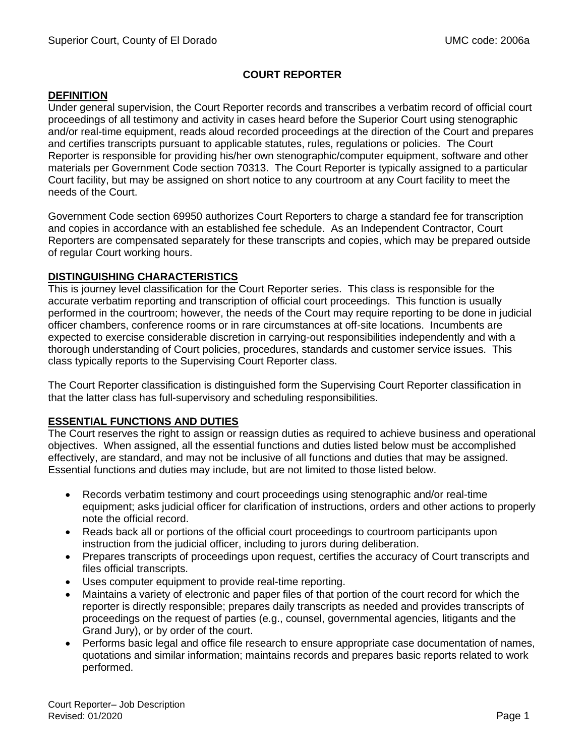# **COURT REPORTER**

## **DEFINITION**

Under general supervision, the Court Reporter records and transcribes a verbatim record of official court proceedings of all testimony and activity in cases heard before the Superior Court using stenographic and/or real-time equipment, reads aloud recorded proceedings at the direction of the Court and prepares and certifies transcripts pursuant to applicable statutes, rules, regulations or policies. The Court Reporter is responsible for providing his/her own stenographic/computer equipment, software and other materials per Government Code section 70313. The Court Reporter is typically assigned to a particular Court facility, but may be assigned on short notice to any courtroom at any Court facility to meet the needs of the Court.

Government Code section 69950 authorizes Court Reporters to charge a standard fee for transcription and copies in accordance with an established fee schedule. As an Independent Contractor, Court Reporters are compensated separately for these transcripts and copies, which may be prepared outside of regular Court working hours.

## **DISTINGUISHING CHARACTERISTICS**

This is journey level classification for the Court Reporter series. This class is responsible for the accurate verbatim reporting and transcription of official court proceedings. This function is usually performed in the courtroom; however, the needs of the Court may require reporting to be done in judicial officer chambers, conference rooms or in rare circumstances at off-site locations. Incumbents are expected to exercise considerable discretion in carrying-out responsibilities independently and with a thorough understanding of Court policies, procedures, standards and customer service issues. This class typically reports to the Supervising Court Reporter class.

The Court Reporter classification is distinguished form the Supervising Court Reporter classification in that the latter class has full-supervisory and scheduling responsibilities.

# **ESSENTIAL FUNCTIONS AND DUTIES**

The Court reserves the right to assign or reassign duties as required to achieve business and operational objectives. When assigned, all the essential functions and duties listed below must be accomplished effectively, are standard, and may not be inclusive of all functions and duties that may be assigned. Essential functions and duties may include, but are not limited to those listed below.

- Records verbatim testimony and court proceedings using stenographic and/or real-time equipment; asks judicial officer for clarification of instructions, orders and other actions to properly note the official record.
- Reads back all or portions of the official court proceedings to courtroom participants upon instruction from the judicial officer, including to jurors during deliberation.
- Prepares transcripts of proceedings upon request, certifies the accuracy of Court transcripts and files official transcripts.
- Uses computer equipment to provide real-time reporting.
- Maintains a variety of electronic and paper files of that portion of the court record for which the reporter is directly responsible; prepares daily transcripts as needed and provides transcripts of proceedings on the request of parties (e.g., counsel, governmental agencies, litigants and the Grand Jury), or by order of the court.
- Performs basic legal and office file research to ensure appropriate case documentation of names, quotations and similar information; maintains records and prepares basic reports related to work performed.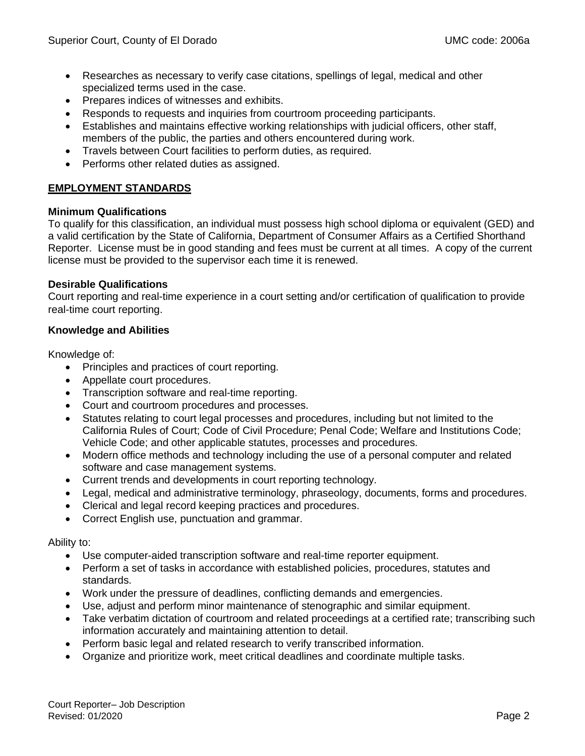- Researches as necessary to verify case citations, spellings of legal, medical and other specialized terms used in the case.
- Prepares indices of witnesses and exhibits.
- Responds to requests and inquiries from courtroom proceeding participants.
- Establishes and maintains effective working relationships with judicial officers, other staff, members of the public, the parties and others encountered during work.
- Travels between Court facilities to perform duties, as required.
- Performs other related duties as assigned.

## **EMPLOYMENT STANDARDS**

#### **Minimum Qualifications**

To qualify for this classification, an individual must possess high school diploma or equivalent (GED) and a valid certification by the State of California, Department of Consumer Affairs as a Certified Shorthand Reporter. License must be in good standing and fees must be current at all times. A copy of the current license must be provided to the supervisor each time it is renewed.

#### **Desirable Qualifications**

Court reporting and real-time experience in a court setting and/or certification of qualification to provide real-time court reporting.

## **Knowledge and Abilities**

Knowledge of:

- Principles and practices of court reporting.
- Appellate court procedures.
- Transcription software and real-time reporting.
- Court and courtroom procedures and processes.
- Statutes relating to court legal processes and procedures, including but not limited to the California Rules of Court; Code of Civil Procedure; Penal Code; Welfare and Institutions Code; Vehicle Code; and other applicable statutes, processes and procedures.
- Modern office methods and technology including the use of a personal computer and related software and case management systems.
- Current trends and developments in court reporting technology.
- Legal, medical and administrative terminology, phraseology, documents, forms and procedures.
- Clerical and legal record keeping practices and procedures.
- Correct English use, punctuation and grammar.

Ability to:

- Use computer-aided transcription software and real-time reporter equipment.
- Perform a set of tasks in accordance with established policies, procedures, statutes and standards.
- Work under the pressure of deadlines, conflicting demands and emergencies.
- Use, adjust and perform minor maintenance of stenographic and similar equipment.
- Take verbatim dictation of courtroom and related proceedings at a certified rate; transcribing such information accurately and maintaining attention to detail.
- Perform basic legal and related research to verify transcribed information.
- Organize and prioritize work, meet critical deadlines and coordinate multiple tasks.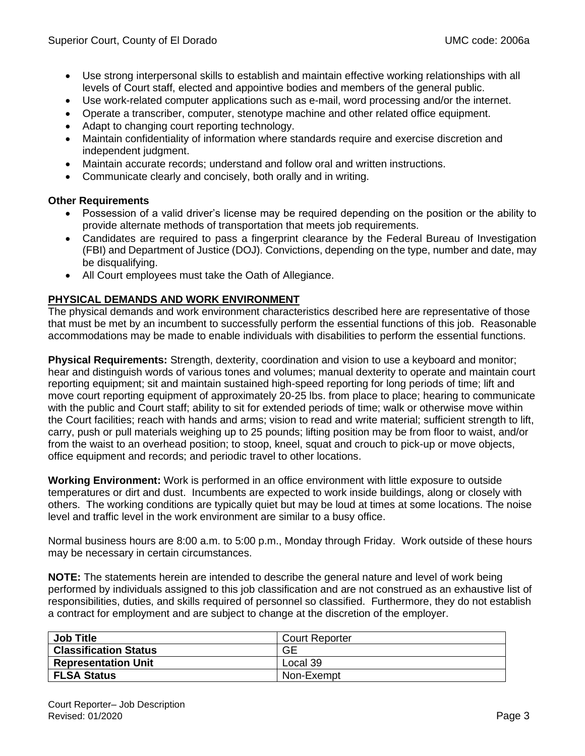- Use strong interpersonal skills to establish and maintain effective working relationships with all levels of Court staff, elected and appointive bodies and members of the general public.
- Use work-related computer applications such as e-mail, word processing and/or the internet.
- Operate a transcriber, computer, stenotype machine and other related office equipment.
- Adapt to changing court reporting technology.
- Maintain confidentiality of information where standards require and exercise discretion and independent judgment.
- Maintain accurate records; understand and follow oral and written instructions.
- Communicate clearly and concisely, both orally and in writing.

# **Other Requirements**

- Possession of a valid driver's license may be required depending on the position or the ability to provide alternate methods of transportation that meets job requirements.
- Candidates are required to pass a fingerprint clearance by the Federal Bureau of Investigation (FBI) and Department of Justice (DOJ). Convictions, depending on the type, number and date, may be disqualifying.
- All Court employees must take the Oath of Allegiance.

# **PHYSICAL DEMANDS AND WORK ENVIRONMENT**

The physical demands and work environment characteristics described here are representative of those that must be met by an incumbent to successfully perform the essential functions of this job. Reasonable accommodations may be made to enable individuals with disabilities to perform the essential functions.

**Physical Requirements:** Strength, dexterity, coordination and vision to use a keyboard and monitor; hear and distinguish words of various tones and volumes; manual dexterity to operate and maintain court reporting equipment; sit and maintain sustained high-speed reporting for long periods of time; lift and move court reporting equipment of approximately 20-25 lbs. from place to place; hearing to communicate with the public and Court staff; ability to sit for extended periods of time; walk or otherwise move within the Court facilities; reach with hands and arms; vision to read and write material; sufficient strength to lift, carry, push or pull materials weighing up to 25 pounds; lifting position may be from floor to waist, and/or from the waist to an overhead position; to stoop, kneel, squat and crouch to pick-up or move objects, office equipment and records; and periodic travel to other locations.

**Working Environment:** Work is performed in an office environment with little exposure to outside temperatures or dirt and dust. Incumbents are expected to work inside buildings, along or closely with others. The working conditions are typically quiet but may be loud at times at some locations. The noise level and traffic level in the work environment are similar to a busy office.

Normal business hours are 8:00 a.m. to 5:00 p.m., Monday through Friday. Work outside of these hours may be necessary in certain circumstances.

**NOTE:** The statements herein are intended to describe the general nature and level of work being performed by individuals assigned to this job classification and are not construed as an exhaustive list of responsibilities, duties, and skills required of personnel so classified. Furthermore, they do not establish a contract for employment and are subject to change at the discretion of the employer.

| <b>Job Title</b>             | <b>Court Reporter</b> |
|------------------------------|-----------------------|
| <b>Classification Status</b> | GE                    |
| <b>Representation Unit</b>   | Local 39              |
| <b>FLSA Status</b>           | Non-Exempt            |